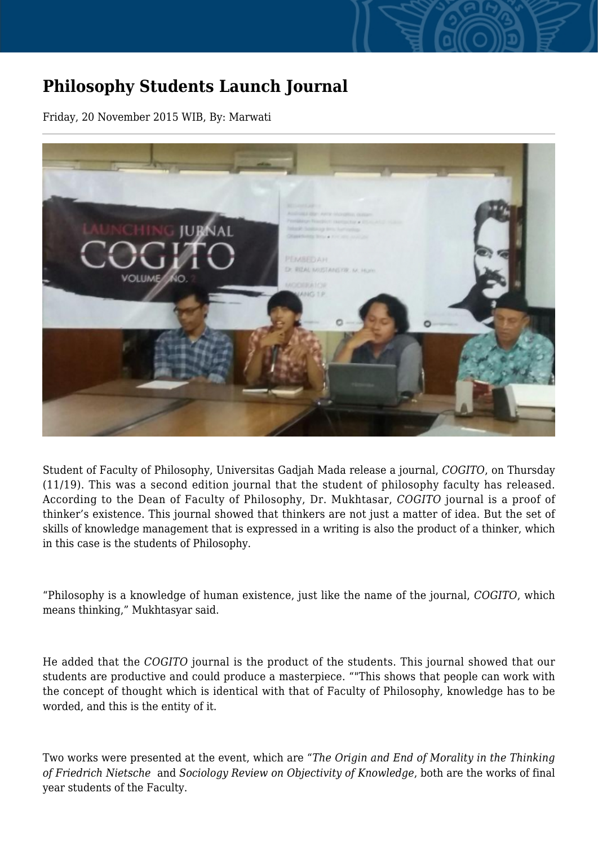## **Philosophy Students Launch Journal**

Friday, 20 November 2015 WIB, By: Marwati



Student of Faculty of Philosophy, Universitas Gadjah Mada release a journal, *COGITO*, on Thursday (11/19). This was a second edition journal that the student of philosophy faculty has released. According to the Dean of Faculty of Philosophy, Dr. Mukhtasar, *COGITO* journal is a proof of thinker's existence. This journal showed that thinkers are not just a matter of idea. But the set of skills of knowledge management that is expressed in a writing is also the product of a thinker, which in this case is the students of Philosophy.

"Philosophy is a knowledge of human existence, just like the name of the journal, *COGITO*, which means thinking," Mukhtasyar said.

He added that the *COGITO* journal is the product of the students. This journal showed that our students are productive and could produce a masterpiece. ""This shows that people can work with the concept of thought which is identical with that of Faculty of Philosophy, knowledge has to be worded, and this is the entity of it.

Two works were presented at the event, which are "*The Origin and End of Morality in the Thinking of Friedrich Nietsche* and *Sociology Review on Objectivity of Knowledge*, both are the works of final year students of the Faculty.